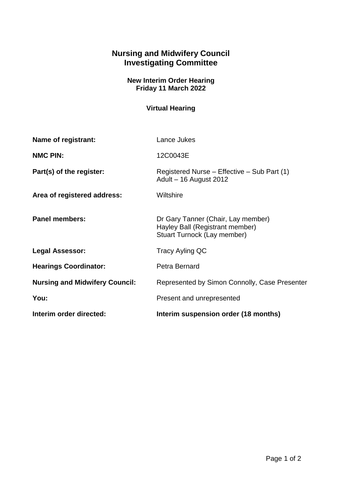## **Nursing and Midwifery Council Investigating Committee**

## **New Interim Order Hearing Friday 11 March 2022**

## **Virtual Hearing**

| Name of registrant:                   | Lance Jukes                                                                                          |
|---------------------------------------|------------------------------------------------------------------------------------------------------|
| <b>NMC PIN:</b>                       | 12C0043E                                                                                             |
| Part(s) of the register:              | Registered Nurse – Effective – Sub Part (1)<br>Adult - 16 August 2012                                |
| Area of registered address:           | Wiltshire                                                                                            |
| <b>Panel members:</b>                 | Dr Gary Tanner (Chair, Lay member)<br>Hayley Ball (Registrant member)<br>Stuart Turnock (Lay member) |
| <b>Legal Assessor:</b>                | Tracy Ayling QC                                                                                      |
| <b>Hearings Coordinator:</b>          | Petra Bernard                                                                                        |
| <b>Nursing and Midwifery Council:</b> | Represented by Simon Connolly, Case Presenter                                                        |
| You:                                  | Present and unrepresented                                                                            |
| Interim order directed:               | Interim suspension order (18 months)                                                                 |